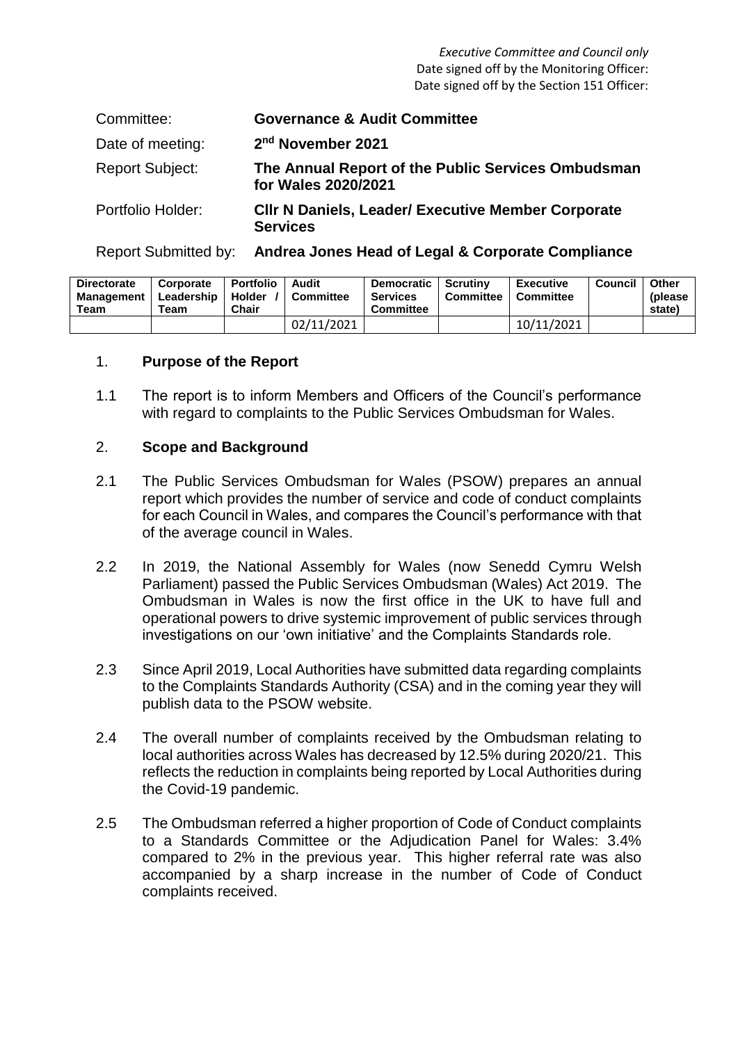*Executive Committee and Council only* Date signed off by the Monitoring Officer: Date signed off by the Section 151 Officer:

| Committee:             | <b>Governance &amp; Audit Committee</b>                                      |
|------------------------|------------------------------------------------------------------------------|
| Date of meeting:       | 2 <sup>nd</sup> November 2021                                                |
| <b>Report Subject:</b> | The Annual Report of the Public Services Ombudsman<br>for Wales 2020/2021    |
| Portfolio Holder:      | <b>CIIr N Daniels, Leader/ Executive Member Corporate</b><br><b>Services</b> |

Report Submitted by: **Andrea Jones Head of Legal & Corporate Compliance**

| <b>Directorate</b><br>Management I<br>Team | Corporate<br>Leadership  <br>Team | <b>Portfolio</b><br>l Holder<br><b>Chair</b> | Audit<br><b>Committee</b> | Democratic  <br>Services<br><b>Committee</b> | Scrutinv<br>Committee | <b>Executive</b><br>Committee | Council | Other<br>(please)<br>state) |
|--------------------------------------------|-----------------------------------|----------------------------------------------|---------------------------|----------------------------------------------|-----------------------|-------------------------------|---------|-----------------------------|
|                                            |                                   |                                              | 02/11/2021                |                                              |                       | 10/11/2021                    |         |                             |

### 1. **Purpose of the Report**

1.1 The report is to inform Members and Officers of the Council's performance with regard to complaints to the Public Services Ombudsman for Wales.

### 2. **Scope and Background**

- 2.1 The Public Services Ombudsman for Wales (PSOW) prepares an annual report which provides the number of service and code of conduct complaints for each Council in Wales, and compares the Council's performance with that of the average council in Wales.
- 2.2 In 2019, the National Assembly for Wales (now Senedd Cymru Welsh Parliament) passed the Public Services Ombudsman (Wales) Act 2019. The Ombudsman in Wales is now the first office in the UK to have full and operational powers to drive systemic improvement of public services through investigations on our 'own initiative' and the Complaints Standards role.
- 2.3 Since April 2019, Local Authorities have submitted data regarding complaints to the Complaints Standards Authority (CSA) and in the coming year they will publish data to the PSOW website.
- 2.4 The overall number of complaints received by the Ombudsman relating to local authorities across Wales has decreased by 12.5% during 2020/21. This reflects the reduction in complaints being reported by Local Authorities during the Covid-19 pandemic.
- 2.5 The Ombudsman referred a higher proportion of Code of Conduct complaints to a Standards Committee or the Adjudication Panel for Wales: 3.4% compared to 2% in the previous year. This higher referral rate was also accompanied by a sharp increase in the number of Code of Conduct complaints received.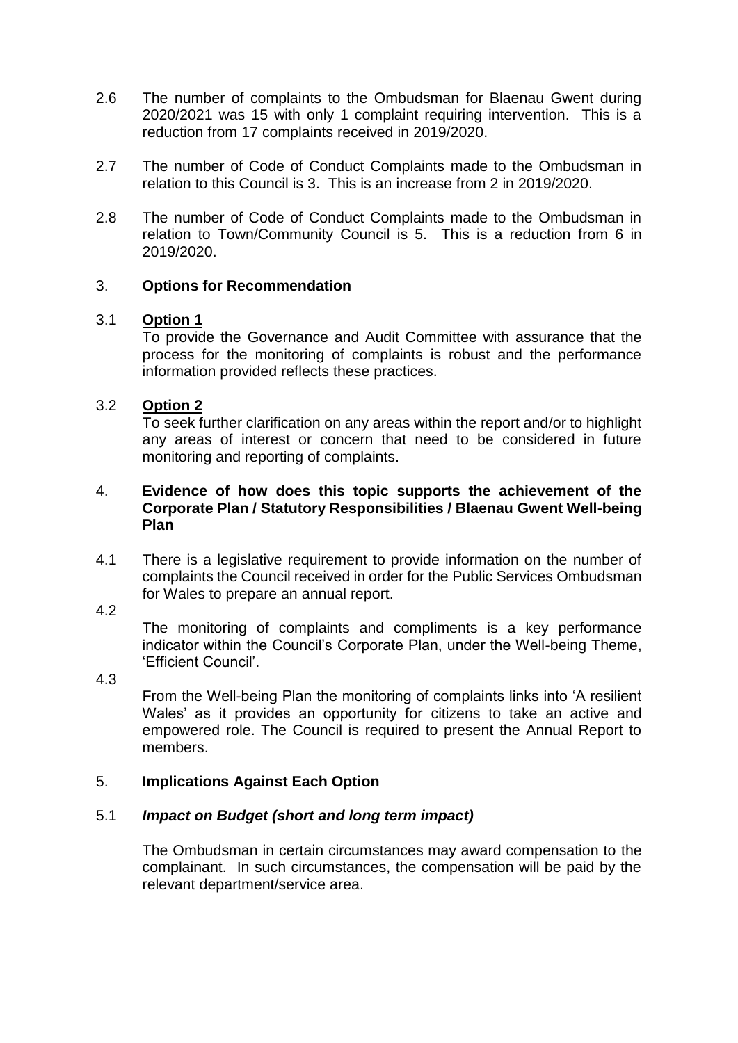- 2.6 The number of complaints to the Ombudsman for Blaenau Gwent during 2020/2021 was 15 with only 1 complaint requiring intervention. This is a reduction from 17 complaints received in 2019/2020.
- 2.7 The number of Code of Conduct Complaints made to the Ombudsman in relation to this Council is 3. This is an increase from 2 in 2019/2020.
- 2.8 The number of Code of Conduct Complaints made to the Ombudsman in relation to Town/Community Council is 5. This is a reduction from 6 in 2019/2020.

# 3. **Options for Recommendation**

#### 3.1 **Option 1**

To provide the Governance and Audit Committee with assurance that the process for the monitoring of complaints is robust and the performance information provided reflects these practices.

#### 3.2 **Option 2**

To seek further clarification on any areas within the report and/or to highlight any areas of interest or concern that need to be considered in future monitoring and reporting of complaints.

#### 4. **Evidence of how does this topic supports the achievement of the Corporate Plan / Statutory Responsibilities / Blaenau Gwent Well-being Plan**

- 4.1 There is a legislative requirement to provide information on the number of complaints the Council received in order for the Public Services Ombudsman for Wales to prepare an annual report.
- 4.2

The monitoring of complaints and compliments is a key performance indicator within the Council's Corporate Plan, under the Well-being Theme, 'Efficient Council'.

4.3

From the Well-being Plan the monitoring of complaints links into 'A resilient Wales' as it provides an opportunity for citizens to take an active and empowered role. The Council is required to present the Annual Report to members.

# 5. **Implications Against Each Option**

# 5.1 *Impact on Budget (short and long term impact)*

The Ombudsman in certain circumstances may award compensation to the complainant. In such circumstances, the compensation will be paid by the relevant department/service area.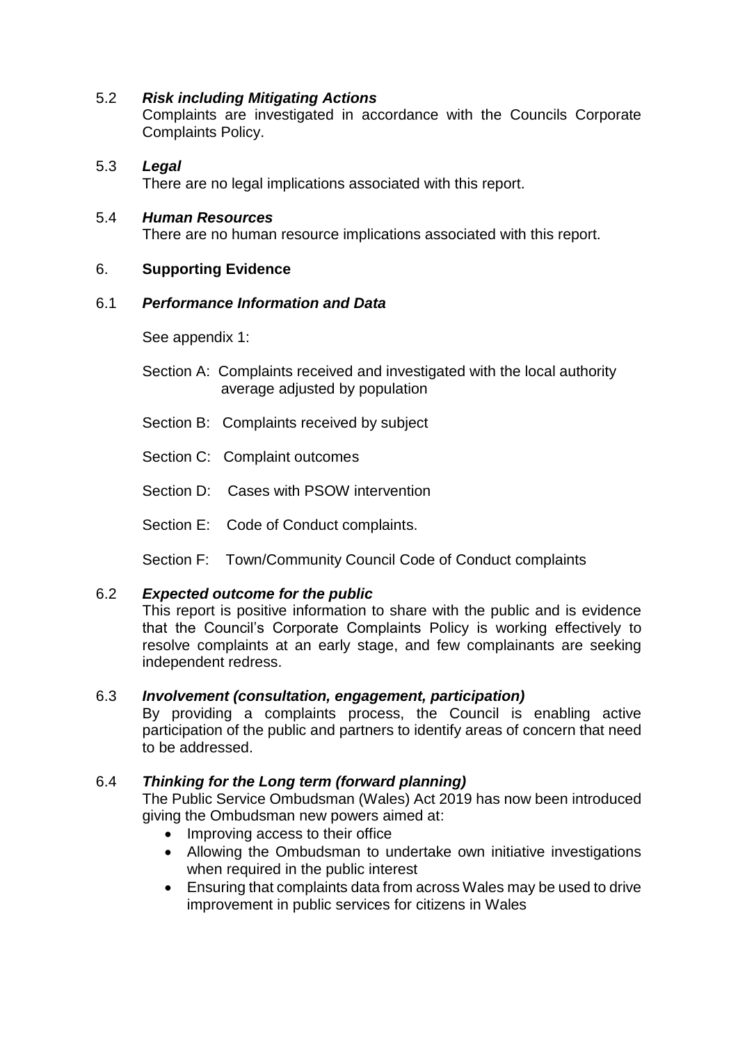# 5.2 *Risk including Mitigating Actions*

Complaints are investigated in accordance with the Councils Corporate Complaints Policy.

5.3 *Legal* There are no legal implications associated with this report.

## 5.4 *Human Resources*

There are no human resource implications associated with this report.

# 6. **Supporting Evidence**

### 6.1 *Performance Information and Data*

See appendix 1:

- Section A: Complaints received and investigated with the local authority average adjusted by population
- Section B: Complaints received by subject
- Section C: Complaint outcomes
- Section D: Cases with PSOW intervention
- Section E: Code of Conduct complaints.

Section F: Town/Community Council Code of Conduct complaints

# 6.2 *Expected outcome for the public*

This report is positive information to share with the public and is evidence that the Council's Corporate Complaints Policy is working effectively to resolve complaints at an early stage, and few complainants are seeking independent redress.

# 6.3 *Involvement (consultation, engagement, participation)*

By providing a complaints process, the Council is enabling active participation of the public and partners to identify areas of concern that need to be addressed.

# 6.4 *Thinking for the Long term (forward planning)*

The Public Service Ombudsman (Wales) Act 2019 has now been introduced giving the Ombudsman new powers aimed at:

- Improving access to their office
- Allowing the Ombudsman to undertake own initiative investigations when required in the public interest
- Ensuring that complaints data from across Wales may be used to drive improvement in public services for citizens in Wales